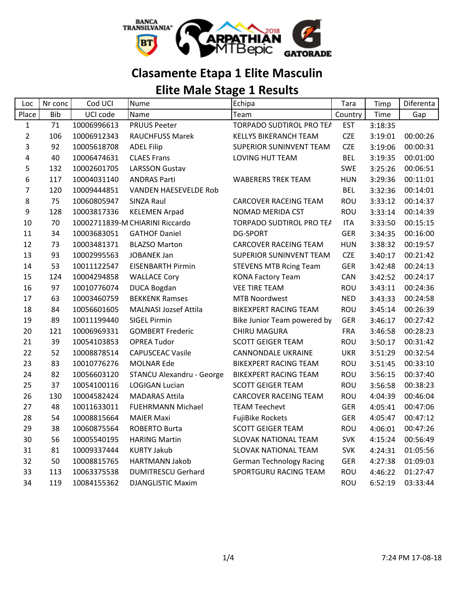

# **Clasamente Etapa 1 Elite Masculin**

# **Elite Male Stage 1 Results**

| Loc   | Nr conc    | Cod UCI     | Nume                             | Echipa                          | Tara       | Timp    | Diferenta |
|-------|------------|-------------|----------------------------------|---------------------------------|------------|---------|-----------|
| Place | <b>Bib</b> | UCI code    | Name                             | Team                            | Country    | Time    | Gap       |
| 1     | 71         | 10006996613 | <b>PRUUS Peeter</b>              | TORPADO SUDTIROL PRO TEA        | <b>EST</b> | 3:18:35 |           |
| 2     | 106        | 10006912343 | <b>RAUCHFUSS Marek</b>           | <b>KELLYS BIKERANCH TEAM</b>    | <b>CZE</b> | 3:19:01 | 00:00:26  |
| 3     | 92         | 10005618708 | <b>ADEL Filip</b>                | <b>SUPERIOR SUNINVENT TEAM</b>  | <b>CZE</b> | 3:19:06 | 00:00:31  |
| 4     | 40         | 10006474631 | <b>CLAES Frans</b>               | LOVING HUT TEAM                 | <b>BEL</b> | 3:19:35 | 00:01:00  |
| 5     | 132        | 10002601705 | <b>LARSSON Gustav</b>            |                                 | <b>SWE</b> | 3:25:26 | 00:06:51  |
| 6     | 117        | 10004031140 | <b>ANDRAS Parti</b>              | <b>WABERERS TREK TEAM</b>       | <b>HUN</b> | 3:29:36 | 00:11:01  |
| 7     | 120        | 10009444851 | <b>VANDEN HAESEVELDE Rob</b>     |                                 | <b>BEL</b> | 3:32:36 | 00:14:01  |
| 8     | 75         | 10060805947 | SINZA Raul                       | <b>CARCOVER RACEING TEAM</b>    | <b>ROU</b> | 3:33:12 | 00:14:37  |
| 9     | 128        | 10003817336 | <b>KELEMEN Arpad</b>             | NOMAD MERIDA CST                | <b>ROU</b> | 3:33:14 | 00:14:39  |
| 10    | 70         |             | 10002711839-M CHIARINI Riccardo  | TORPADO SUDTIROL PRO TEA        | ITA        | 3:33:50 | 00:15:15  |
| 11    | 34         | 10003683051 | <b>GATHOF Daniel</b>             | <b>DG-SPORT</b>                 | <b>GER</b> | 3:34:35 | 00:16:00  |
| 12    | 73         | 10003481371 | <b>BLAZSO Marton</b>             | <b>CARCOVER RACEING TEAM</b>    | <b>HUN</b> | 3:38:32 | 00:19:57  |
| 13    | 93         | 10002995563 | <b>JOBANEK Jan</b>               | SUPERIOR SUNINVENT TEAM         | <b>CZE</b> | 3:40:17 | 00:21:42  |
| 14    | 53         | 10011122547 | <b>EISENBARTH Pirmin</b>         | <b>STEVENS MTB Rcing Team</b>   | <b>GER</b> | 3:42:48 | 00:24:13  |
| 15    | 124        | 10004294858 | <b>WALLACE Cory</b>              | <b>KONA Factory Team</b>        | <b>CAN</b> | 3:42:52 | 00:24:17  |
| 16    | 97         | 10010776074 | <b>DUCA Bogdan</b>               | <b>VEE TIRE TEAM</b>            | ROU        | 3:43:11 | 00:24:36  |
| 17    | 63         | 10003460759 | <b>BEKKENK Ramses</b>            | <b>MTB Noordwest</b>            | <b>NED</b> | 3:43:33 | 00:24:58  |
| 18    | 84         | 10056601605 | <b>MALNASI Jozsef Attila</b>     | <b>BIKEXPERT RACING TEAM</b>    | <b>ROU</b> | 3:45:14 | 00:26:39  |
| 19    | 89         | 10011199440 | <b>SIGEL Pirmin</b>              | Bike Junior Team powered by     | <b>GER</b> | 3:46:17 | 00:27:42  |
| 20    | 121        | 10006969331 | <b>GOMBERT Frederic</b>          | <b>CHIRU MAGURA</b>             | <b>FRA</b> | 3:46:58 | 00:28:23  |
| 21    | 39         | 10054103853 | <b>OPREA Tudor</b>               | <b>SCOTT GEIGER TEAM</b>        | ROU        | 3:50:17 | 00:31:42  |
| 22    | 52         | 10008878514 | <b>CAPUSCEAC Vasile</b>          | CANNONDALE UKRAINE              | <b>UKR</b> | 3:51:29 | 00:32:54  |
| 23    | 83         | 10010776276 | <b>MOLNAR Ede</b>                | <b>BIKEXPERT RACING TEAM</b>    | ROU        | 3:51:45 | 00:33:10  |
| 24    | 82         | 10056603120 | <b>STANCU Alexandru - George</b> | <b>BIKEXPERT RACING TEAM</b>    | <b>ROU</b> | 3:56:15 | 00:37:40  |
| 25    | 37         | 10054100116 | <b>LOGIGAN Lucian</b>            | <b>SCOTT GEIGER TEAM</b>        | <b>ROU</b> | 3:56:58 | 00:38:23  |
| 26    | 130        | 10004582424 | <b>MADARAS Attila</b>            | <b>CARCOVER RACEING TEAM</b>    | <b>ROU</b> | 4:04:39 | 00:46:04  |
| 27    | 48         | 10011633011 | <b>FUEHRMANN Michael</b>         | <b>TEAM Teechevt</b>            | <b>GER</b> | 4:05:41 | 00:47:06  |
| 28    | 54         | 10008815664 | <b>MAIER Maxi</b>                | <b>FujiBike Rockets</b>         | <b>GER</b> | 4:05:47 | 00:47:12  |
| 29    | 38         | 10060875564 | <b>ROBERTO Burta</b>             | <b>SCOTT GEIGER TEAM</b>        | <b>ROU</b> | 4:06:01 | 00:47:26  |
| 30    | 56         | 10005540195 | <b>HARING Martin</b>             | SLOVAK NATIONAL TEAM            | <b>SVK</b> | 4:15:24 | 00:56:49  |
| 31    | 81         | 10009337444 | <b>KURTY Jakub</b>               | SLOVAK NATIONAL TEAM            | <b>SVK</b> | 4:24:31 | 01:05:56  |
| 32    | 50         | 10008815765 | <b>HARTMANN Jakob</b>            | <b>German Technology Racing</b> | <b>GER</b> | 4:27:38 | 01:09:03  |
| 33    | 113        | 10063375538 | <b>DUMITRESCU Gerhard</b>        | SPORTGURU RACING TEAM           | <b>ROU</b> | 4:46:22 | 01:27:47  |
| 34    | 119        | 10084155362 | <b>DJANGLISTIC Maxim</b>         |                                 | <b>ROU</b> | 6:52:19 | 03:33:44  |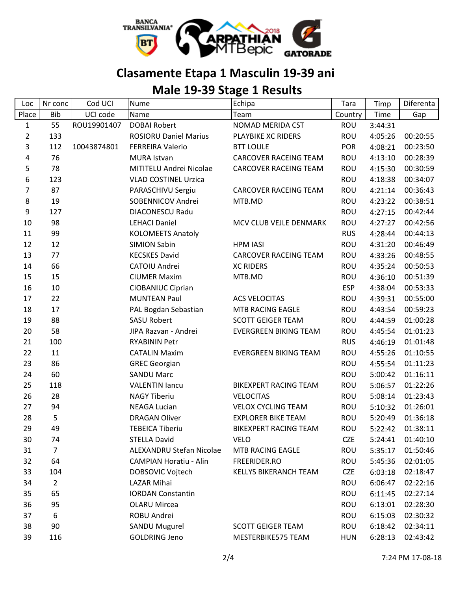

## **Clasamente Etapa 1 Masculin 19-39 ani**

# **Male 19-39 Stage 1 Results**

| Loc            | Nr conc        | Cod UCI     | Nume                          | Echipa                       | Tara       | Timp    | Diferenta |
|----------------|----------------|-------------|-------------------------------|------------------------------|------------|---------|-----------|
| Place          | <b>Bib</b>     | UCI code    | Name                          | Team                         | Country    | Time    | Gap       |
| $\mathbf{1}$   | 55             | ROU19901407 | <b>DOBAI Robert</b>           | NOMAD MERIDA CST             | <b>ROU</b> | 3:44:31 |           |
| $\overline{2}$ | 133            |             | <b>ROSIORU Daniel Marius</b>  | PLAYBIKE XC RIDERS           | <b>ROU</b> | 4:05:26 | 00:20:55  |
| 3              | 112            | 10043874801 | <b>FERREIRA Valerio</b>       | <b>BTT LOULE</b>             | POR        | 4:08:21 | 00:23:50  |
| 4              | 76             |             | <b>MURA Istvan</b>            | <b>CARCOVER RACEING TEAM</b> | ROU        | 4:13:10 | 00:28:39  |
| 5              | 78             |             | MITITELU Andrei Nicolae       | <b>CARCOVER RACEING TEAM</b> | ROU        | 4:15:30 | 00:30:59  |
| 6              | 123            |             | <b>VLAD COSTINEL Urzica</b>   |                              | ROU        | 4:18:38 | 00:34:07  |
| 7              | 87             |             | PARASCHIVU Sergiu             | <b>CARCOVER RACEING TEAM</b> | ROU        | 4:21:14 | 00:36:43  |
| 8              | 19             |             | SOBENNICOV Andrei             | MTB.MD                       | ROU        | 4:23:22 | 00:38:51  |
| 9              | 127            |             | <b>DIACONESCU Radu</b>        |                              | ROU        | 4:27:15 | 00:42:44  |
| 10             | 98             |             | <b>LEHACI Daniel</b>          | MCV CLUB VEJLE DENMARK       | ROU        | 4:27:27 | 00:42:56  |
| 11             | 99             |             | <b>KOLOMEETS Anatoly</b>      |                              | <b>RUS</b> | 4:28:44 | 00:44:13  |
| 12             | 12             |             | <b>SIMION Sabin</b>           | <b>HPM IASI</b>              | ROU        | 4:31:20 | 00:46:49  |
| 13             | 77             |             | <b>KECSKES David</b>          | <b>CARCOVER RACEING TEAM</b> | ROU        | 4:33:26 | 00:48:55  |
| 14             | 66             |             | CATOIU Andrei                 | <b>XC RIDERS</b>             | ROU        | 4:35:24 | 00:50:53  |
| 15             | 15             |             | <b>CIUMER Maxim</b>           | MTB.MD                       | ROU        | 4:36:10 | 00:51:39  |
| 16             | 10             |             | <b>CIOBANIUC Ciprian</b>      |                              | <b>ESP</b> | 4:38:04 | 00:53:33  |
| 17             | 22             |             | <b>MUNTEAN Paul</b>           | <b>ACS VELOCITAS</b>         | ROU        | 4:39:31 | 00:55:00  |
| 18             | 17             |             | PAL Bogdan Sebastian          | MTB RACING EAGLE             | <b>ROU</b> | 4:43:54 | 00:59:23  |
| 19             | 88             |             | <b>SASU Robert</b>            | SCOTT GEIGER TEAM            | ROU        | 4:44:59 | 01:00:28  |
| 20             | 58             |             | JIPA Razvan - Andrei          | <b>EVERGREEN BIKING TEAM</b> | ROU        | 4:45:54 | 01:01:23  |
| 21             | 100            |             | <b>RYABININ Petr</b>          |                              | <b>RUS</b> | 4:46:19 | 01:01:48  |
| 22             | 11             |             | <b>CATALIN Maxim</b>          | <b>EVERGREEN BIKING TEAM</b> | ROU        | 4:55:26 | 01:10:55  |
| 23             | 86             |             | <b>GREC Georgian</b>          |                              | ROU        | 4:55:54 | 01:11:23  |
| 24             | 60             |             | <b>SANDU Marc</b>             |                              | ROU        | 5:00:42 | 01:16:11  |
| 25             | 118            |             | <b>VALENTIN lancu</b>         | <b>BIKEXPERT RACING TEAM</b> | ROU        | 5:06:57 | 01:22:26  |
| 26             | 28             |             | <b>NAGY Tiberiu</b>           | <b>VELOCITAS</b>             | ROU        | 5:08:14 | 01:23:43  |
| 27             | 94             |             | <b>NEAGA Lucian</b>           | <b>VELOX CYCLING TEAM</b>    | ROU        | 5:10:32 | 01:26:01  |
| 28             | 5              |             | <b>DRAGAN Oliver</b>          | <b>EXPLORER BIKE TEAM</b>    | ROU        | 5:20:49 | 01:36:18  |
| 29             | 49             |             | <b>TEBEICA Tiberiu</b>        | <b>BIKEXPERT RACING TEAM</b> | <b>ROU</b> | 5:22:42 | 01:38:11  |
| 30             | 74             |             | <b>STELLA David</b>           | <b>VELO</b>                  | <b>CZE</b> | 5:24:41 | 01:40:10  |
| 31             | $\overline{7}$ |             | ALEXANDRU Stefan Nicolae      | MTB RACING EAGLE             | <b>ROU</b> | 5:35:17 | 01:50:46  |
| 32             | 64             |             | <b>CAMPIAN Horatiu - Alin</b> | FREERIDER.RO                 | <b>ROU</b> | 5:45:36 | 02:01:05  |
| 33             | 104            |             | DOBSOVIC Vojtech              | <b>KELLYS BIKERANCH TEAM</b> | <b>CZE</b> | 6:03:18 | 02:18:47  |
| 34             | $\overline{2}$ |             | <b>LAZAR Mihai</b>            |                              | <b>ROU</b> | 6:06:47 | 02:22:16  |
| 35             | 65             |             | <b>IORDAN Constantin</b>      |                              | ROU        | 6:11:45 | 02:27:14  |
| 36             | 95             |             | <b>OLARU Mircea</b>           |                              | <b>ROU</b> | 6:13:01 | 02:28:30  |
| 37             | 6              |             | ROBU Andrei                   |                              | <b>ROU</b> | 6:15:03 | 02:30:32  |
| 38             | 90             |             | SANDU Mugurel                 | <b>SCOTT GEIGER TEAM</b>     | <b>ROU</b> | 6:18:42 | 02:34:11  |
| 39             | 116            |             | <b>GOLDRING Jeno</b>          | MESTERBIKE575 TEAM           | <b>HUN</b> | 6:28:13 | 02:43:42  |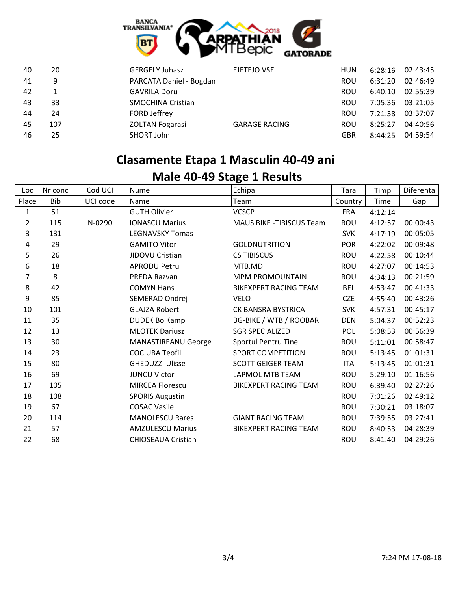

| 40 | 20  | <b>GERGELY Juhasz</b>    | EJETEJO VSE          | <b>HUN</b> | 6:28:16 | 02:43:45 |
|----|-----|--------------------------|----------------------|------------|---------|----------|
| 41 | 9   | PARCATA Daniel - Bogdan  |                      | <b>ROU</b> | 6:31:20 | 02:46:49 |
| 42 |     | <b>GAVRILA Doru</b>      |                      | <b>ROU</b> | 6:40:10 | 02:55:39 |
| 43 | 33  | <b>SMOCHINA Cristian</b> |                      | <b>ROU</b> | 7:05:36 | 03:21:05 |
| 44 | 24  | FORD Jeffrey             |                      | <b>ROU</b> | 7:21:38 | 03:37:07 |
| 45 | 107 | <b>ZOLTAN Fogarasi</b>   | <b>GARAGE RACING</b> | <b>ROU</b> | 8:25:27 | 04:40:56 |
| 46 | 25  | SHORT John               |                      | <b>GBR</b> | 8:44:25 | 04:59:54 |

### **Clasamente Etapa 1 Masculin 40-49 ani**

| Loc            | Nr conc    | Cod UCI  | <b>Nume</b>                | Echipa                           | Tara       | Timp    | Diferenta |
|----------------|------------|----------|----------------------------|----------------------------------|------------|---------|-----------|
| Place          | <b>Bib</b> | UCI code | Name                       | Team                             | Country    | Time    | Gap       |
| 1              | 51         |          | <b>GUTH Olivier</b>        | <b>VCSCP</b>                     | <b>FRA</b> | 4:12:14 |           |
| $\overline{2}$ | 115        | N-0290   | <b>IONASCU Marius</b>      | <b>MAUS BIKE - TIBISCUS Team</b> | <b>ROU</b> | 4:12:57 | 00:00:43  |
| 3              | 131        |          | <b>LEGNAVSKY Tomas</b>     |                                  | <b>SVK</b> | 4:17:19 | 00:05:05  |
| 4              | 29         |          | <b>GAMITO Vitor</b>        | <b>GOLDNUTRITION</b>             | <b>POR</b> | 4:22:02 | 00:09:48  |
| 5              | 26         |          | JIDOVU Cristian            | <b>CS TIBISCUS</b>               | <b>ROU</b> | 4:22:58 | 00:10:44  |
| 6              | 18         |          | <b>APRODU Petru</b>        | MTB.MD                           | <b>ROU</b> | 4:27:07 | 00:14:53  |
| 7              | 8          |          | PREDA Razvan               | <b>MPM PROMOUNTAIN</b>           | ROU        | 4:34:13 | 00:21:59  |
| 8              | 42         |          | <b>COMYN Hans</b>          | <b>BIKEXPERT RACING TEAM</b>     | <b>BEL</b> | 4:53:47 | 00:41:33  |
| 9              | 85         |          | SEMERAD Ondrej             | <b>VELO</b>                      | <b>CZE</b> | 4:55:40 | 00:43:26  |
| 10             | 101        |          | <b>GLAJZA Robert</b>       | CK BANSRA BYSTRICA               | <b>SVK</b> | 4:57:31 | 00:45:17  |
| 11             | 35         |          | <b>DUDEK Bo Kamp</b>       | <b>BG-BIKE / WTB / ROOBAR</b>    | <b>DEN</b> | 5:04:37 | 00:52:23  |
| 12             | 13         |          | <b>MLOTEK Dariusz</b>      | <b>SGR SPECIALIZED</b>           | POL        | 5:08:53 | 00:56:39  |
| 13             | 30         |          | <b>MANASTIREANU George</b> | Sportul Pentru Tine              | <b>ROU</b> | 5:11:01 | 00:58:47  |
| 14             | 23         |          | <b>COCIUBA Teofil</b>      | <b>SPORT COMPETITION</b>         | <b>ROU</b> | 5:13:45 | 01:01:31  |
| 15             | 80         |          | <b>GHEDUZZI Ulisse</b>     | <b>SCOTT GEIGER TEAM</b>         | ITA        | 5:13:45 | 01:01:31  |
| 16             | 69         |          | <b>JUNCU Victor</b>        | <b>LAPMOL MTB TEAM</b>           | <b>ROU</b> | 5:29:10 | 01:16:56  |
| 17             | 105        |          | <b>MIRCEA Florescu</b>     | <b>BIKEXPERT RACING TEAM</b>     | <b>ROU</b> | 6:39:40 | 02:27:26  |
| 18             | 108        |          | <b>SPORIS Augustin</b>     |                                  | <b>ROU</b> | 7:01:26 | 02:49:12  |
| 19             | 67         |          | <b>COSAC Vasile</b>        |                                  | ROU        | 7:30:21 | 03:18:07  |
| 20             | 114        |          | <b>MANOLESCU Rares</b>     | <b>GIANT RACING TEAM</b>         | ROU        | 7:39:55 | 03:27:41  |
| 21             | 57         |          | <b>AMZULESCU Marius</b>    | <b>BIKEXPERT RACING TEAM</b>     | <b>ROU</b> | 8:40:53 | 04:28:39  |
| 22             | 68         |          | <b>CHIOSEAUA Cristian</b>  |                                  | ROU        | 8:41:40 | 04:29:26  |

## **Male 40-49 Stage 1 Results**